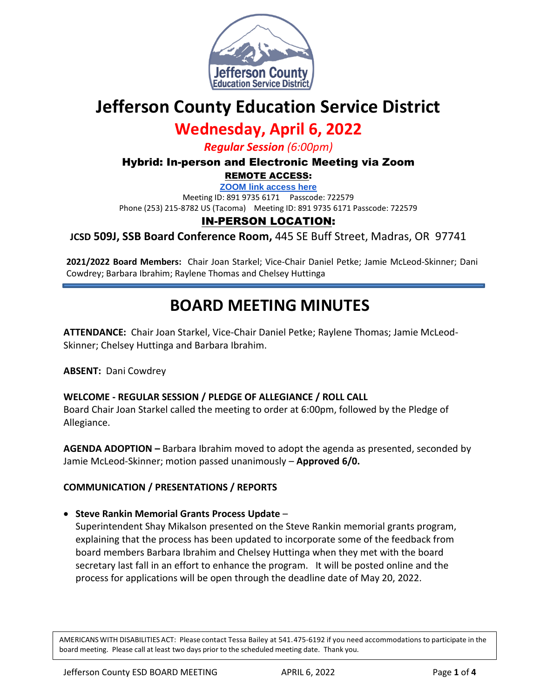

# **Jefferson County Education Service District**

# **Wednesday, April 6, 2022**

*Regular Session (6:00pm)*

Hybrid: In-person and Electronic Meeting via Zoom

REMOTE ACCESS:

**[ZOOM link access here](https://us02web.zoom.us/j/89197356171?pwd=SVhOVVZPeXlnZWZ2Wmh2Mll5dlpDQT09)**

Meeting ID: 891 9735 6171 Passcode: 722579

Phone (253) 215-8782 US (Tacoma) Meeting ID: 891 9735 6171 Passcode: 722579

## IN-PERSON LOCATION:

**JCSD 509J, SSB Board Conference Room,** 445 SE Buff Street, Madras, OR 97741

**2021/2022 Board Members:** Chair Joan Starkel; Vice-Chair Daniel Petke; Jamie McLeod-Skinner; Dani Cowdrey; Barbara Ibrahim; Raylene Thomas and Chelsey Huttinga

# **BOARD MEETING MINUTES**

**ATTENDANCE:** Chair Joan Starkel, Vice-Chair Daniel Petke; Raylene Thomas; Jamie McLeod-Skinner; Chelsey Huttinga and Barbara Ibrahim.

**ABSENT:** Dani Cowdrey

#### **WELCOME - REGULAR SESSION / PLEDGE OF ALLEGIANCE / ROLL CALL**

Board Chair Joan Starkel called the meeting to order at 6:00pm, followed by the Pledge of Allegiance.

**AGENDA ADOPTION –** Barbara Ibrahim moved to adopt the agenda as presented, seconded by Jamie McLeod-Skinner; motion passed unanimously – **Approved 6/0.**

#### **COMMUNICATION / PRESENTATIONS / REPORTS**

**Steve Rankin Memorial Grants Process Update** –

Superintendent Shay Mikalson presented on the Steve Rankin memorial grants program, explaining that the process has been updated to incorporate some of the feedback from board members Barbara Ibrahim and Chelsey Huttinga when they met with the board secretary last fall in an effort to enhance the program. It will be posted online and the process for applications will be open through the deadline date of May 20, 2022.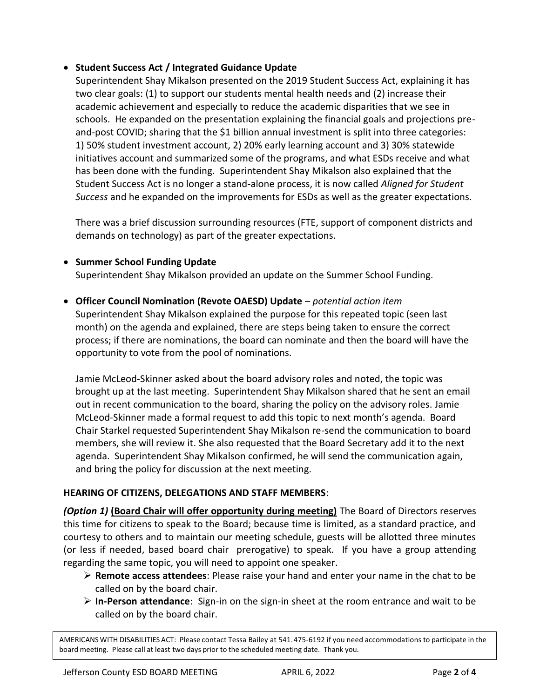#### **Student Success Act / Integrated Guidance Update**

Superintendent Shay Mikalson presented on the 2019 Student Success Act, explaining it has two clear goals: (1) to support our students mental health needs and (2) increase their academic achievement and especially to reduce the academic disparities that we see in schools. He expanded on the presentation explaining the financial goals and projections preand-post COVID; sharing that the \$1 billion annual investment is split into three categories: 1) 50% student investment account, 2) 20% early learning account and 3) 30% statewide initiatives account and summarized some of the programs, and what ESDs receive and what has been done with the funding. Superintendent Shay Mikalson also explained that the Student Success Act is no longer a stand-alone process, it is now called *Aligned for Student Success* and he expanded on the improvements for ESDs as well as the greater expectations.

There was a brief discussion surrounding resources (FTE, support of component districts and demands on technology) as part of the greater expectations.

- **Summer School Funding Update** Superintendent Shay Mikalson provided an update on the Summer School Funding.
- **Officer Council Nomination (Revote OAESD) Update** *potential action item* Superintendent Shay Mikalson explained the purpose for this repeated topic (seen last month) on the agenda and explained, there are steps being taken to ensure the correct process; if there are nominations, the board can nominate and then the board will have the opportunity to vote from the pool of nominations.

Jamie McLeod-Skinner asked about the board advisory roles and noted, the topic was brought up at the last meeting. Superintendent Shay Mikalson shared that he sent an email out in recent communication to the board, sharing the policy on the advisory roles. Jamie McLeod-Skinner made a formal request to add this topic to next month's agenda. Board Chair Starkel requested Superintendent Shay Mikalson re-send the communication to board members, she will review it. She also requested that the Board Secretary add it to the next agenda. Superintendent Shay Mikalson confirmed, he will send the communication again, and bring the policy for discussion at the next meeting.

#### **HEARING OF CITIZENS, DELEGATIONS AND STAFF MEMBERS**:

*(Option 1)* **(Board Chair will offer opportunity during meeting)** The Board of Directors reserves this time for citizens to speak to the Board; because time is limited, as a standard practice, and courtesy to others and to maintain our meeting schedule, guests will be allotted three minutes (or less if needed, based board chair prerogative) to speak. If you have a group attending regarding the same topic, you will need to appoint one speaker.

- **Remote access attendees**: Please raise your hand and enter your name in the chat to be called on by the board chair.
- **In-Person attendance**: Sign-in on the sign-in sheet at the room entrance and wait to be called on by the board chair.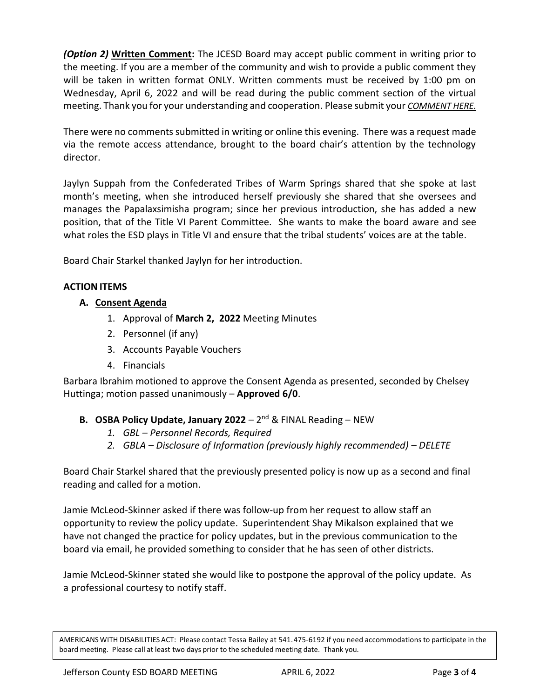*(Option 2)* **Written Comment:** The JCESD Board may accept public comment in writing prior to the meeting. If you are a member of the community and wish to provide a public comment they will be taken in written format ONLY. Written comments must be received by 1:00 pm on Wednesday, April 6, 2022 and will be read during the public comment section of the virtual meeting. Thank you for your understanding and cooperation. Please submit your *[COMMENT HERE.](https://jcesd.k12.or.us/meeting-public-comment)*

There were no comments submitted in writing or online this evening. There was a request made via the remote access attendance, brought to the board chair's attention by the technology director.

Jaylyn Suppah from the Confederated Tribes of Warm Springs shared that she spoke at last month's meeting, when she introduced herself previously she shared that she oversees and manages the Papalaxsimisha program; since her previous introduction, she has added a new position, that of the Title VI Parent Committee. She wants to make the board aware and see what roles the ESD plays in Title VI and ensure that the tribal students' voices are at the table.

Board Chair Starkel thanked Jaylyn for her introduction.

## **ACTION ITEMS**

### **A. Consent Agenda**

- 1. Approval of **March 2, 2022** Meeting Minutes
- 2. Personnel (if any)
- 3. Accounts Payable Vouchers
- 4. Financials

Barbara Ibrahim motioned to approve the Consent Agenda as presented, seconded by Chelsey Huttinga; motion passed unanimously – **Approved 6/0**.

## **B. OSBA Policy Update, January 2022** – 2<sup>nd</sup> & FINAL Reading – NEW

- *1. GBL – Personnel Records, Required*
- *2. GBLA – Disclosure of Information (previously highly recommended) – DELETE*

Board Chair Starkel shared that the previously presented policy is now up as a second and final reading and called for a motion.

Jamie McLeod-Skinner asked if there was follow-up from her request to allow staff an opportunity to review the policy update. Superintendent Shay Mikalson explained that we have not changed the practice for policy updates, but in the previous communication to the board via email, he provided something to consider that he has seen of other districts.

Jamie McLeod-Skinner stated she would like to postpone the approval of the policy update. As a professional courtesy to notify staff.